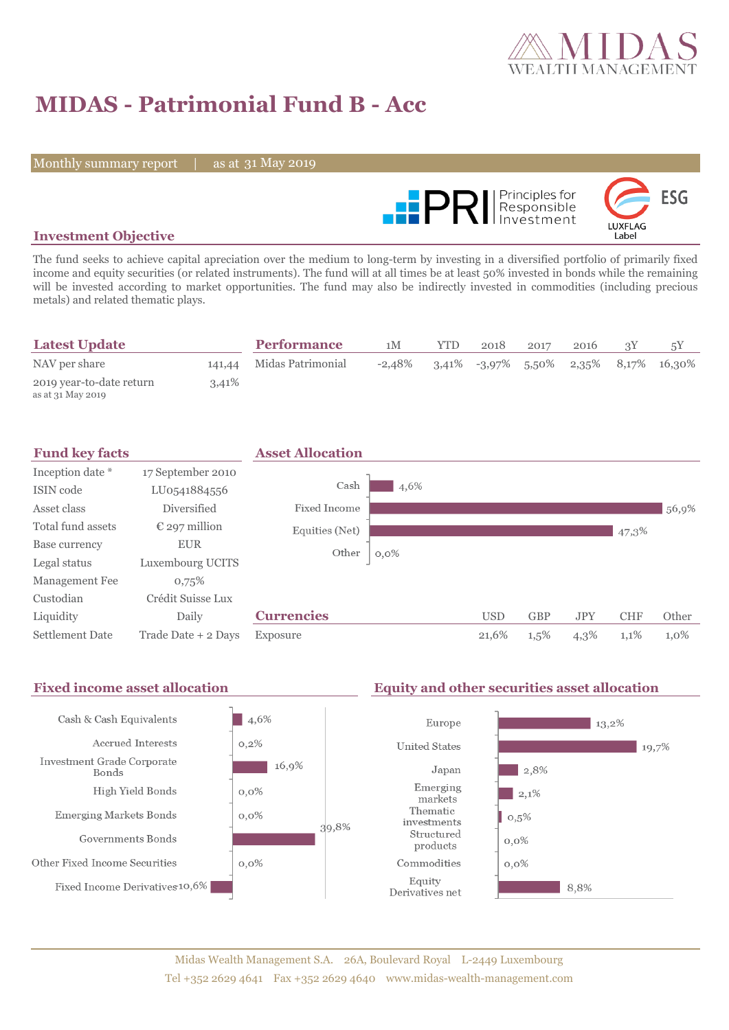

# **MIDAS - Patrimonial Fund B - Acc**

Monthly summary report | as at 31 May 2019



### **Investment Objective**

The fund seeks to achieve capital apreciation over the medium to long-term by investing in a diversified portfolio of primarily fixed income and equity securities (or related instruments). The fund will at all times be at least 50% invested in bonds while the remaining will be invested according to market opportunities. The fund may also be indirectly invested in commodities (including precious metals) and related thematic plays.

| <b>Latest Update</b>                          |       | <b>Performance</b>       | 1M        | YTD. | 2018 | 2017 | 2016 |                                          |
|-----------------------------------------------|-------|--------------------------|-----------|------|------|------|------|------------------------------------------|
| NAV per share                                 |       | 141,44 Midas Patrimonial | $-2.48\%$ |      |      |      |      | $3,41\%$ -3,97% 5,50% 2,35% 8,17% 16,30% |
| 2019 year-to-date return<br>as at 31 May 2019 | 3,41% |                          |           |      |      |      |      |                                          |

| <b>Fund key facts</b>  |                        | <b>Asset Allocation</b> |         |            |            |            |            |         |
|------------------------|------------------------|-------------------------|---------|------------|------------|------------|------------|---------|
| Inception date *       | 17 September 2010      |                         |         |            |            |            |            |         |
| ISIN code              | LU0541884556           | Cash                    | 4,6%    |            |            |            |            |         |
| Asset class            | Diversified            | Fixed Income            |         |            |            |            |            | 56,9%   |
| Total fund assets      | $\epsilon$ 297 million | Equities (Net)          |         |            |            |            | 47,3%      |         |
| Base currency          | <b>EUR</b>             | Other                   | $0,0\%$ |            |            |            |            |         |
| Legal status           | Luxembourg UCITS       |                         |         |            |            |            |            |         |
| Management Fee         | 0,75%                  |                         |         |            |            |            |            |         |
| Custodian              | Crédit Suisse Lux      |                         |         |            |            |            |            |         |
| Liquidity              | Daily                  | <b>Currencies</b>       |         | <b>USD</b> | <b>GBP</b> | <b>JPY</b> | <b>CHF</b> | Other   |
| <b>Settlement Date</b> | Trade Date + 2 Days    | Exposure                |         | 21,6%      | $1,5\%$    | 4,3%       | 1,1%       | $1,0\%$ |



### Midas Wealth Management S.A. 26A, Boulevard Royal L-2449 Luxembourg Tel +352 2629 4641 Fax +352 2629 4640 www.midas-wealth-management.com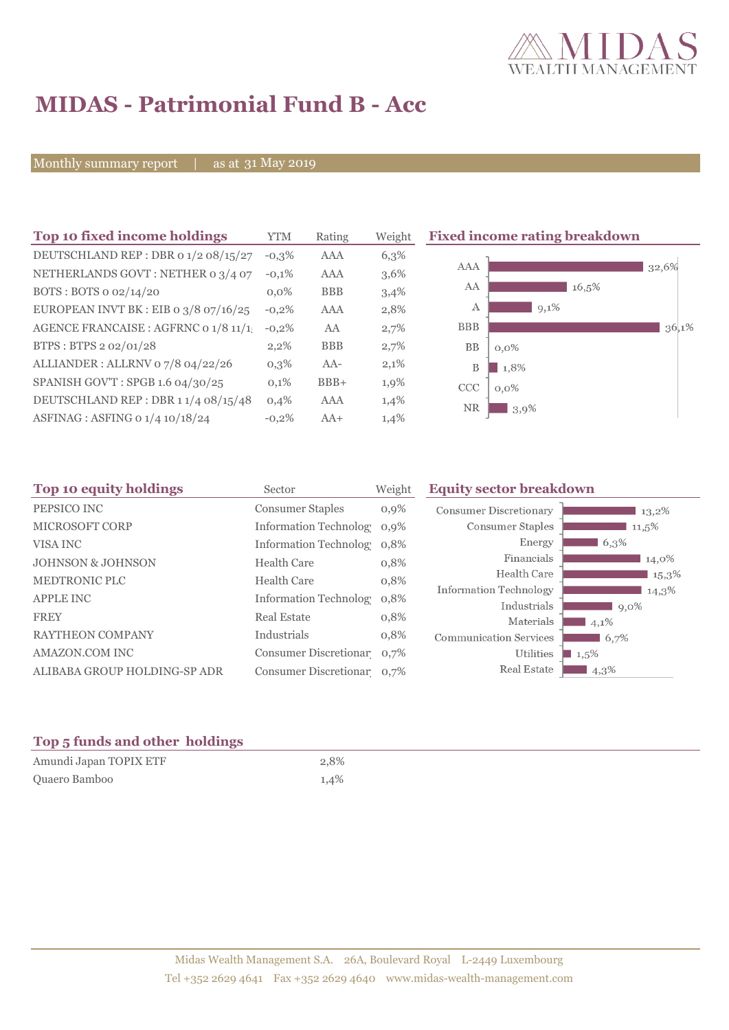

## **MIDAS - Patrimonial Fund B - Acc**

Monthly summary report | as at 31 May 2019

| Top 10 fixed income holdings            | <b>YTM</b> | Rating     | Weight  | <b>Fixed income rating breakdown</b> |  |
|-----------------------------------------|------------|------------|---------|--------------------------------------|--|
| DEUTSCHLAND REP : DBR 0 1/2 08/15/27    | $-0,3\%$   | AAA        | 6,3%    |                                      |  |
| NETHERLANDS GOVT: NETHER 0 3/4 07       | $-0,1%$    | <b>AAA</b> | $3,6\%$ | AAA<br>32,6%                         |  |
| BOTS: BOTS 0 02/14/20                   | $0.0\%$    | <b>BBB</b> | 3,4%    | AA<br>16.5%                          |  |
| EUROPEAN INVT BK : EIB o $3/8$ 07/16/25 | $-0,2%$    | AAA        | 2,8%    | $9,1\%$<br>А                         |  |
| AGENCE FRANCAISE : AGFRNC 0 1/8 11/1    | $-0,2%$    | AA         | 2,7%    | <b>BBB</b><br>36,1%                  |  |
| BTPS: BTPS 2 02/01/28                   | $2,2\%$    | <b>BBB</b> | 2,7%    | BB<br>$0,0\%$                        |  |
| ALLIANDER: ALLRNV 07/8 04/22/26         | $0,3\%$    | AA-        | 2,1%    | B<br>1,8%                            |  |
| SPANISH GOV'T: SPGB 1.6 04/30/25        | 0,1%       | $BBB+$     | 1,9%    | CCC<br>$0,0\%$                       |  |
| DEUTSCHLAND REP: DBR 11/4 08/15/48      | 0,4%       | AAA        | 1,4%    | <b>NR</b>                            |  |
| ASFINAG : ASFING 0 1/4 10/18/24         | $-0,2%$    | $AA+$      | 1,4%    | 3,9%                                 |  |
|                                         |            |            |         |                                      |  |

| Top 10 equity holdings<br>Sector |                            | Weight  | <b>Equity sector breakdown</b>        |                 |
|----------------------------------|----------------------------|---------|---------------------------------------|-----------------|
| PEPSICO INC                      | <b>Consumer Staples</b>    | $0,9\%$ | <b>Consumer Discretionary</b>         | 13,2%           |
| MICROSOFT CORP                   | Information Technolog 0,9% |         | Consumer Staples                      | $11,5\%$        |
| VISA INC                         | Information Technolog 0,8% |         | Energy                                | $6,3\%$         |
| <b>JOHNSON &amp; JOHNSON</b>     | <b>Health Care</b>         | 0,8%    | Financials                            | 14,0%           |
| <b>MEDTRONIC PLC</b>             | <b>Health Care</b>         | 0,8%    | Health Care                           | 15,3%           |
| <b>APPLE INC</b>                 | Information Technolog 0,8% |         | Information Technology<br>Industrials | 14,3%           |
| <b>FREY</b>                      | <b>Real Estate</b>         | 0,8%    | Materials                             | $9,0\%$<br>4,1% |
| <b>RAYTHEON COMPANY</b>          | Industrials                | 0,8%    | <b>Communication Services</b>         | 6,7%            |
| AMAZON.COM INC                   | Consumer Discretionar 0,7% |         | Utilities                             | 1,5%            |
| ALIBABA GROUP HOLDING-SP ADR     | Consumer Discretionar 0,7% |         | Real Estate                           | $4,3\%$         |

## **Top 5 funds and other holdings**

| Amundi Japan TOPIX ETF | 2,8% |
|------------------------|------|
| Quaero Bamboo          | 1,4% |